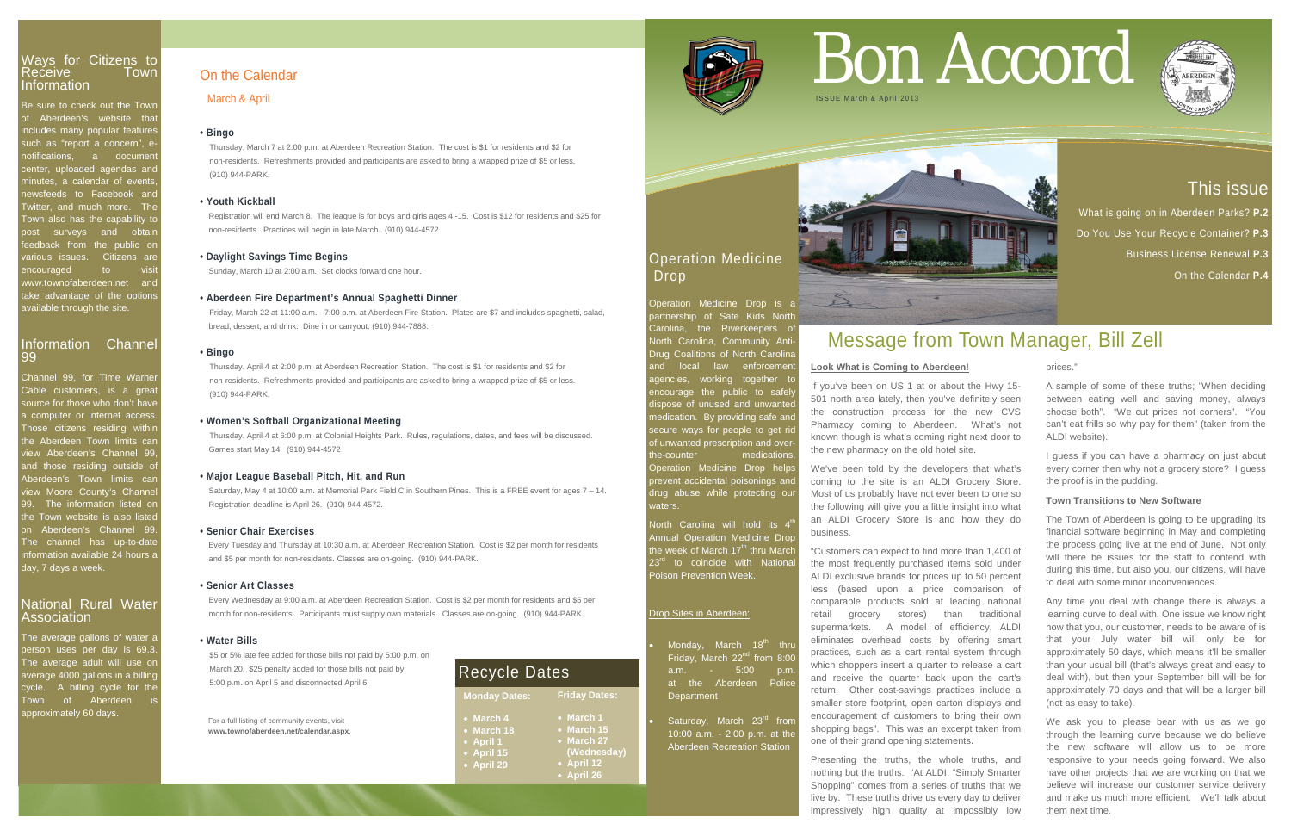# This issue

What is going on in Aberdeen Parks? **P.2**  Do You Use Your Recycle Container? **P.3** Business License Renewal **P.3**

On the Calendar **P.4**

# Ways for Citizens to Receive Information

Be sure to check out the Town of Aberdeen's website that includes many popular features such as "report a concern", e notifications, a document center, uploaded agendas and minutes, a calendar of events newsfeeds to Facebook and Twitter, and much more. The Town also has the capability to post surveys and obtair eedback from the public or various issues. Citizens are encouraged to visit vww.townofaberdeen.net and take advantage of the options available through the site.

Channel 99, for Time Warne Cable customers, is a great source for those who don't have a computer or internet access Those citizens residing with the Aberdeen Town limits car view Aberdeen's Channel 99, and those residing outside of Aberdeen's Town limits can view Moore County's Channel 99. The information listed on the Town website is also liste on Aberdeen's Channel 99 The channel has up-to-date information available 24 hours a day, 7 days a week.

# Information Channel 99

The average gallons of water a person uses per day is 69.3. The average adult will use on average 4000 gallons in a billing cycle. A billing cycle for the Town of Aberdeen approximately 60 days.

 $\overline{\text{North}}$  Carolina will hold its 4 Annual Operation Medicine Drop he week of March 17<sup>th</sup> thru March 23<sup>rd</sup> to coincide with Nationa Poison Prevention Week.

> Saturday, March 23<sup>rd</sup> from 10:00 a.m. - 2:00 p.m. at the Aberdeen Recreation Station



# National Rural Water Association

# Operation Medicine Drop

Operation Medicine Drop is a partnership of Safe Kids North Carolina, the Riverkeepers of North Carolina, Community Anti-Drug Coalitions of North Carolina and local law enforcemer igencies, working together to encourage the public to safely lispose of unused and unwanted nedication. By providing safe and ecure ways for people to get rid of unwanted prescription and overthe-counter medications Operation Medicine Drop help prevent accidental poisonings and drug abuse while protecting our waters.

# Drop Sites in Aberdeen:

Monday, March 18<sup>th</sup> thru Friday, March  $22<sup>nd</sup>$  from 8:00 a.m. - 5:00 p.m. at the Aberdeen Police **Department** 

For a full listing of community events, visit **www.townofaberdeen.net/calendar.aspx**.

# On the Calendar

March & April

# **• Bingo**

Thursday, March 7 at 2:00 p.m. at Aberdeen Recreation Station. The cost is \$1 for residents and \$2 for non-residents. Refreshments provided and participants are asked to bring a wrapped prize of \$5 or less. (910) 944-PARK.

# **• Youth Kickball**

 Registration will end March 8. The league is for boys and girls ages 4 -15. Cost is \$12 for residents and \$25 for non-residents. Practices will begin in late March. (910) 944-4572.

# **• Daylight Savings Time Begins**

Sunday, March 10 at 2:00 a.m. Set clocks forward one hour.

# **• Aberdeen Fire Department's Annual Spaghetti Dinner**

Friday, March 22 at 11:00 a.m. - 7:00 p.m. at Aberdeen Fire Station. Plates are \$7 and includes spaghetti, salad, bread, dessert, and drink. Dine in or carryout. (910) 944-7888.

# **• Bingo**

Thursday, April 4 at 2:00 p.m. at Aberdeen Recreation Station. The cost is \$1 for residents and \$2 for non-residents. Refreshments provided and participants are asked to bring a wrapped prize of \$5 or less. (910) 944-PARK.

# **• Women's Softball Organizational Meeting**

Thursday, April 4 at 6:00 p.m. at Colonial Heights Park. Rules, regulations, dates, and fees will be discussed. Games start May 14. (910) 944-4572

# **• Major League Baseball Pitch, Hit, and Run**

 Saturday, May 4 at 10:00 a.m. at Memorial Park Field C in Southern Pines. This is a FREE event for ages 7 – 14. Registration deadline is April 26. (910) 944-4572.

> We ask you to please bear with us as we go through the learning curve because we do believe the new software will allow us to be more responsive to your needs going forward. We also have other projects that we are working on that we believe will increase our customer service delivery and make us much more efficient. We'll talk about them next time.

# **• Senior Chair Exercises**

Every Tuesday and Thursday at 10:30 a.m. at Aberdeen Recreation Station. Cost is \$2 per month for residents and \$5 per month for non-residents. Classes are on-going. (910) 944-PARK.

# **• Senior Art Classes**

 Every Wednesday at 9:00 a.m. at Aberdeen Recreation Station. Cost is \$2 per month for residents and \$5 per month for non-residents. Participants must supply own materials. Classes are on-going. (910) 944-PARK.

# **• Water Bills**

\$5 or 5% late fee added for those bills not paid by 5:00 p.m. on March 20. \$25 penalty added for those bills not paid by 5:00 p.m. on April 5 and disconnected April 6.

# Bon Accord



# Message from Town Manager, Bill Zell

# **Look What is Coming to Aberdeen!**

If you've been on US 1 at or about the Hwy 15- 501 north area lately, then you've definitely seen the construction process for the new CVS Pharmacy coming to Aberdeen. What's not known though is what's coming right next door to the new pharmacy on the old hotel site.

We've been told by the developers that what's coming to the site is an ALDI Grocery Store. Most of us probably have not ever been to one so the following will give you a little insight into what an ALDI Grocery Store is and how they do business.

"Customers can expect to find more than 1,400 of the most frequently purchased items sold under ALDI exclusive brands for prices up to 50 percent less (based upon a price comparison of comparable products sold at leading national retail grocery stores) than traditional supermarkets. A model of efficiency, ALDI eliminates overhead costs by offering smart practices, such as a cart rental system through which shoppers insert a quarter to release a cart and receive the quarter back upon the cart's return. Other cost-savings practices include a smaller store footprint, open carton displays and encouragement of customers to bring their own shopping bags". This was an excerpt taken from one of their grand opening statements.

Presenting the truths, the whole truths, and nothing but the truths. "At ALDI, "Simply Smarter Shopping" comes from a series of truths that we live by. These truths drive us every day to deliver impressively high quality at impossibly low

prices."

A sample of some of these truths; "When deciding between eating well and saving money, always choose both". "We cut prices not corners". "You can't eat frills so why pay for them" (taken from the ALDI website).

I guess if you can have a pharmacy on just about every corner then why not a grocery store? I guess the proof is in the pudding.

# **Town Transitions to New Software**

The Town of Aberdeen is going to be upgrading its financial software beginning in May and completing the process going live at the end of June. Not only will there be issues for the staff to contend with during this time, but also you, our citizens, will have to deal with some minor inconveniences.

Any time you deal with change there is always a learning curve to deal with. One issue we know right now that you, our customer, needs to be aware of is that your July water bill will only be for approximately 50 days, which means it'll be smaller than your usual bill (that's always great and easy to deal with), but then your September bill will be for approximately 70 days and that will be a larger bill (not as easy to take).



| <b>Monday Dates:</b> | <b>Friday Dates:</b> |
|----------------------|----------------------|
| $\bullet$ March 4    | $\bullet$ March 1    |
| • March 18           | • March 15           |
| • April 1            | • March 27           |
| • April 15           | (Wednesday)          |
| • April 29           | • April 12           |
|                      | • April 26           |



# Recycle Dates